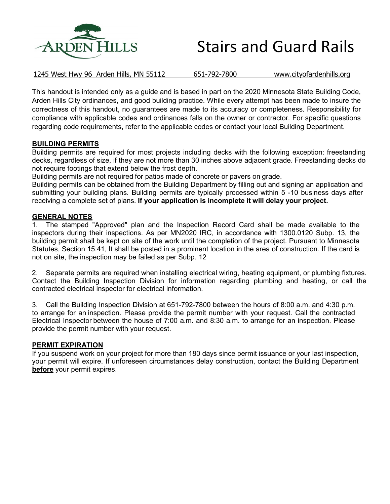

| <b>Stairs and Guard Rails</b> |
|-------------------------------|
|                               |

1245 West Hwy 96 Arden Hills, MN 55112 651-792-7800 www.cityofardenhills.org

This handout is intended only as a guide and is based in part on the 2020 Minnesota State Building Code, Arden Hills City ordinances, and good building practice. While every attempt has been made to insure the correctness of this handout, no guarantees are made to its accuracy or completeness. Responsibility for compliance with applicable codes and ordinances falls on the owner or contractor. For specific questions regarding code requirements, refer to the applicable codes or contact your local Building Department.

#### **BUILDING PERMITS**

Building permits are required for most projects including decks with the following exception: freestanding decks, regardless of size, if they are not more than 30 inches above adjacent grade. Freestanding decks do not require footings that extend below the frost depth.

Building permits are not required for patios made of concrete or pavers on grade.

Building permits can be obtained from the Building Department by filling out and signing an application and submitting your building plans. Building permits are typically processed within 5 -10 business days after receiving a complete set of plans. **If your application is incomplete it will delay your project.**

#### **GENERAL NOTES**

1. The stamped "Approved" plan and the Inspection Record Card shall be made available to the inspectors during their inspections. As per MN2020 IRC, in accordance with 1300.0120 Subp. 13, the building permit shall be kept on site of the work until the completion of the project. Pursuant to Minnesota Statutes, Section 15.41, It shall be posted in a prominent location in the area of construction. If the card is not on site, the inspection may be failed as per Subp. 12

2. Separate permits are required when installing electrical wiring, heating equipment, or plumbing fixtures. Contact the Building Inspection Division for information regarding plumbing and heating, or call the contracted electrical inspector for electrical information.

3. Call the Building Inspection Division at 651-792-7800 between the hours of 8:00 a.m. and 4:30 p.m. to arrange for an inspection. Please provide the permit number with your request. Call the contracted Electrical Inspector between the house of 7:00 a.m. and 8:30 a.m. to arrange for an inspection. Please provide the permit number with your request.

#### **PERMIT EXPIRATION**

If you suspend work on your project for more than 180 days since permit issuance or your last inspection, your permit will expire. If unforeseen circumstances delay construction, contact the Building Department **before** your permit expires.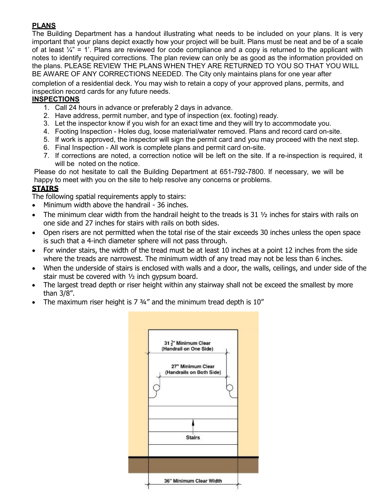# **PLANS**

The Building Department has a handout illustrating what needs to be included on your plans. It is very important that your plans depict exactly how your project will be built. Plans must be neat and be of a scale of at least  $\mathcal{V}_4$ " = 1'. Plans are reviewed for code compliance and a copy is returned to the applicant with notes to identify required corrections. The plan review can only be as good as the information provided on the plans. PLEASE REVIEW THE PLANS WHEN THEY ARE RETURNED TO YOU SO THAT YOU WILL BE AWARE OF ANY CORRECTIONS NEEDED. The City only maintains plans for one year after

completion of a residential deck. You may wish to retain a copy of your approved plans, permits, and inspection record cards for any future needs.

## **INSPECTIONS**

- 1. Call 24 hours in advance or preferably 2 days in advance.
- 2. Have address, permit number, and type of inspection (ex. footing) ready.
- 3. Let the inspector know if you wish for an exact time and they will try to accommodate you.
- 4. Footing Inspection Holes dug, loose material/water removed. Plans and record card on-site.
- 5. If work is approved, the inspector will sign the permit card and you may proceed with the next step.
- 6. Final Inspection All work is complete plans and permit card on-site.
- 7. If corrections are noted, a correction notice will be left on the site. If a re-inspection is required, it will be noted on the notice.

Please do not hesitate to call the Building Department at 651-792-7800. If necessary, we will be happy to meet with you on the site to help resolve any concerns or problems.

## **STAIRS**

The following spatial requirements apply to stairs:

- Minimum width above the handrail 36 inches.
- The minimum clear width from the handrail height to the treads is 31  $\frac{1}{2}$  inches for stairs with rails on one side and 27 inches for stairs with rails on both sides.
- Open risers are not permitted when the total rise of the stair exceeds 30 inches unless the open space is such that a 4-inch diameter sphere will not pass through.
- For winder stairs, the width of the tread must be at least 10 inches at a point 12 inches from the side where the treads are narrowest. The minimum width of any tread may not be less than 6 inches.
- When the underside of stairs is enclosed with walls and a door, the walls, ceilings, and under side of the stair must be covered with ½ inch gypsum board.
- The largest tread depth or riser height within any stairway shall not be exceed the smallest by more than 3/8".
- The maximum riser height is  $7\frac{3}{4}$ " and the minimum tread depth is  $10$ "

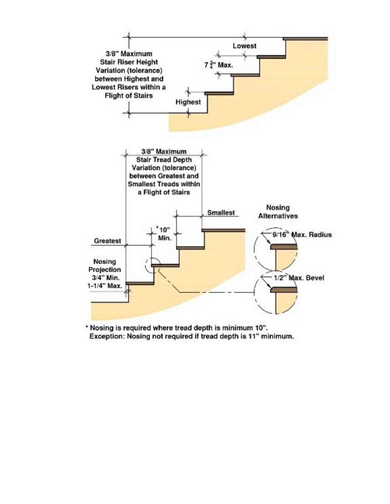

\* Nosing is required where tread depth is minimum 10". Exception: Nosing not required if tread depth is 11" minimum.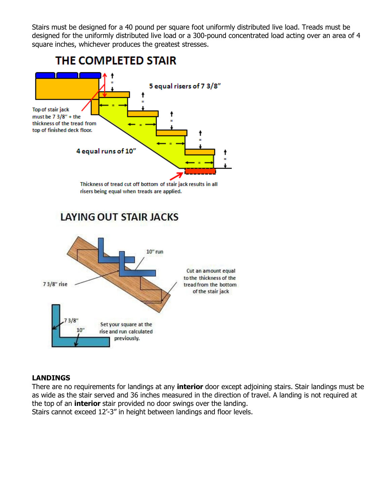Stairs must be designed for a 40 pound per square foot uniformly distributed live load. Treads must be designed for the uniformly distributed live load or a 300-pound concentrated load acting over an area of 4 square inches, whichever produces the greatest stresses.



# **LANDINGS**

There are no requirements for landings at any **interior** door except adjoining stairs. Stair landings must be as wide as the stair served and 36 inches measured in the direction of travel. A landing is not required at the top of an **interior** stair provided no door swings over the landing. Stairs cannot exceed 12'-3" in height between landings and floor levels.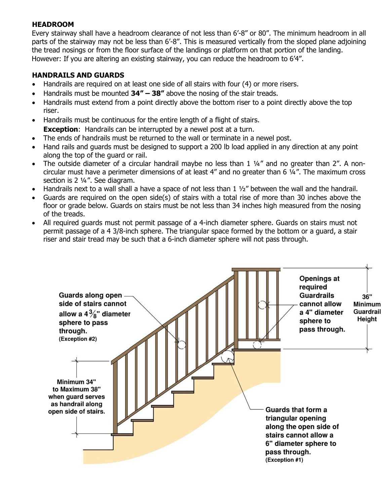### **HEADROOM**

Every stairway shall have a headroom clearance of not less than 6'-8" or 80". The minimum headroom in all parts of the stairway may not be less than 6'-8". This is measured vertically from the sloped plane adjoining the tread nosings or from the floor surface of the landings or platform on that portion of the landing. However: If you are altering an existing stairway, you can reduce the headroom to 6'4".

## **HANDRAILS AND GUARDS**

- Handrails are required on at least one side of all stairs with four (4) or more risers.
- Handrails must be mounted **34" – 38"** above the nosing of the stair treads.
- Handrails must extend from a point directly above the bottom riser to a point directly above the top riser.
- Handrails must be continuous for the entire length of a flight of stairs. **Exception:** Handrails can be interrupted by a newel post at a turn.
- The ends of handrails must be returned to the wall or terminate in a newel post.
- Hand rails and guards must be designed to support a 200 lb load applied in any direction at any point along the top of the guard or rail.
- The outside diameter of a circular handrail maybe no less than 1 1/4" and no greater than 2". A noncircular must have a perimeter dimensions of at least 4" and no greater than 6 ¼". The maximum cross section is 2 ¼". See diagram.
- Handrails next to a wall shall a have a space of not less than 1 ½" between the wall and the handrail.
- Guards are required on the open side(s) of stairs with a total rise of more than 30 inches above the floor or grade below. Guards on stairs must be not less than 34 inches high measured from the nosing of the treads.
- All required guards must not permit passage of a 4-inch diameter sphere. Guards on stairs must not permit passage of a 4 3/8-inch sphere. The triangular space formed by the bottom or a guard, a stair riser and stair tread may be such that a 6-inch diameter sphere will not pass through.

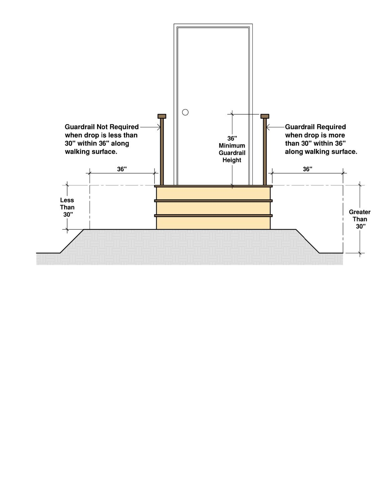